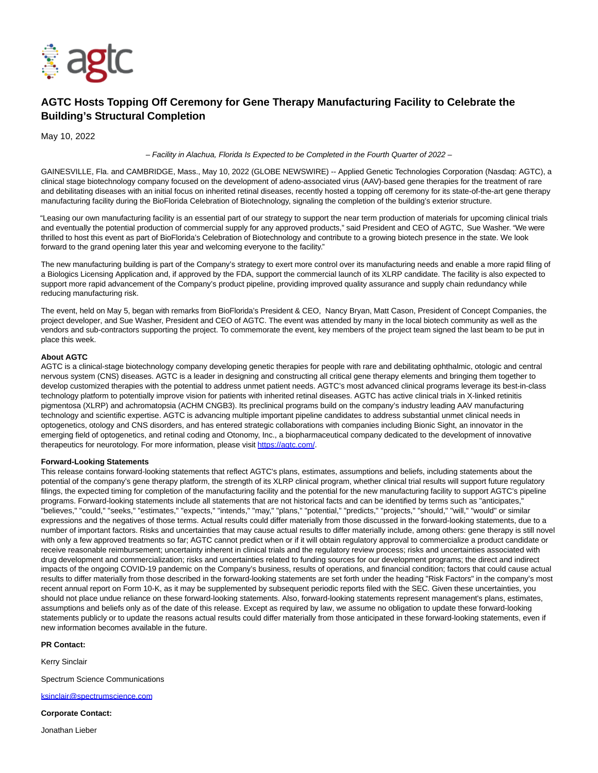

## **AGTC Hosts Topping Off Ceremony for Gene Therapy Manufacturing Facility to Celebrate the Building's Structural Completion**

May 10, 2022

– Facility in Alachua, Florida Is Expected to be Completed in the Fourth Quarter of 2022 –

GAINESVILLE, Fla. and CAMBRIDGE, Mass., May 10, 2022 (GLOBE NEWSWIRE) -- Applied Genetic Technologies Corporation (Nasdaq: AGTC), a clinical stage biotechnology company focused on the development of adeno-associated virus (AAV)-based gene therapies for the treatment of rare and debilitating diseases with an initial focus on inherited retinal diseases, recently hosted a topping off ceremony for its state-of-the-art gene therapy manufacturing facility during the BioFlorida Celebration of Biotechnology, signaling the completion of the building's exterior structure.

"Leasing our own manufacturing facility is an essential part of our strategy to support the near term production of materials for upcoming clinical trials and eventually the potential production of commercial supply for any approved products," said President and CEO of AGTC, Sue Washer. "We were thrilled to host this event as part of BioFlorida's Celebration of Biotechnology and contribute to a growing biotech presence in the state. We look forward to the grand opening later this year and welcoming everyone to the facility."

The new manufacturing building is part of the Company's strategy to exert more control over its manufacturing needs and enable a more rapid filing of a Biologics Licensing Application and, if approved by the FDA, support the commercial launch of its XLRP candidate. The facility is also expected to support more rapid advancement of the Company's product pipeline, providing improved quality assurance and supply chain redundancy while reducing manufacturing risk.

The event, held on May 5, began with remarks from BioFlorida's President & CEO, Nancy Bryan, Matt Cason, President of Concept Companies, the project developer, and Sue Washer, President and CEO of AGTC. The event was attended by many in the local biotech community as well as the vendors and sub-contractors supporting the project. To commemorate the event, key members of the project team signed the last beam to be put in place this week.

## **About AGTC**

AGTC is a clinical-stage biotechnology company developing genetic therapies for people with rare and debilitating ophthalmic, otologic and central nervous system (CNS) diseases. AGTC is a leader in designing and constructing all critical gene therapy elements and bringing them together to develop customized therapies with the potential to address unmet patient needs. AGTC's most advanced clinical programs leverage its best-in-class technology platform to potentially improve vision for patients with inherited retinal diseases. AGTC has active clinical trials in X-linked retinitis pigmentosa (XLRP) and achromatopsia (ACHM CNGB3). Its preclinical programs build on the company's industry leading AAV manufacturing technology and scientific expertise. AGTC is advancing multiple important pipeline candidates to address substantial unmet clinical needs in optogenetics, otology and CNS disorders, and has entered strategic collaborations with companies including Bionic Sight, an innovator in the emerging field of optogenetics, and retinal coding and Otonomy, Inc., a biopharmaceutical company dedicated to the development of innovative therapeutics for neurotology. For more information, please visit [https://agtc.com/.](https://www.globenewswire.com/Tracker?data=LbDqvu5kPePElVaFGvgTaomIEsXqlKRX2wpAnaCog80SSYZNEw-TJlfPI7vccKM3ck1mGZ3G9b6UgVQ_hNfE5g==)

## **Forward-Looking Statements**

This release contains forward-looking statements that reflect AGTC's plans, estimates, assumptions and beliefs, including statements about the potential of the company's gene therapy platform, the strength of its XLRP clinical program, whether clinical trial results will support future regulatory filings, the expected timing for completion of the manufacturing facility and the potential for the new manufacturing facility to support AGTC's pipeline programs. Forward-looking statements include all statements that are not historical facts and can be identified by terms such as "anticipates," "believes," "could," "seeks," "estimates," "expects," "intends," "may," "plans," "potential," "predicts," "projects," "should," "will," "would" or similar expressions and the negatives of those terms. Actual results could differ materially from those discussed in the forward-looking statements, due to a number of important factors. Risks and uncertainties that may cause actual results to differ materially include, among others: gene therapy is still novel with only a few approved treatments so far; AGTC cannot predict when or if it will obtain regulatory approval to commercialize a product candidate or receive reasonable reimbursement; uncertainty inherent in clinical trials and the regulatory review process; risks and uncertainties associated with drug development and commercialization; risks and uncertainties related to funding sources for our development programs; the direct and indirect impacts of the ongoing COVID-19 pandemic on the Company's business, results of operations, and financial condition; factors that could cause actual results to differ materially from those described in the forward-looking statements are set forth under the heading "Risk Factors" in the company's most recent annual report on Form 10-K, as it may be supplemented by subsequent periodic reports filed with the SEC. Given these uncertainties, you should not place undue reliance on these forward-looking statements. Also, forward-looking statements represent management's plans, estimates, assumptions and beliefs only as of the date of this release. Except as required by law, we assume no obligation to update these forward-looking statements publicly or to update the reasons actual results could differ materially from those anticipated in these forward-looking statements, even if new information becomes available in the future.

## **PR Contact:**

Kerry Sinclair

Spectrum Science Communications

[ksinclair@spectrumscience.com](https://www.globenewswire.com/Tracker?data=4DLHwEB861UbTA7nJS9bIRhWxz3aGTgHO3iYVLOxTpY9-M-OtIndlKo_TZZfqgujtm3rSwc1IKDc-Y6DFdq9b1beUxTwY_1fX8wEXv4xJ60AX98fHSCo_rWj9Ped9EnW)

**Corporate Contact:**

Jonathan Lieber